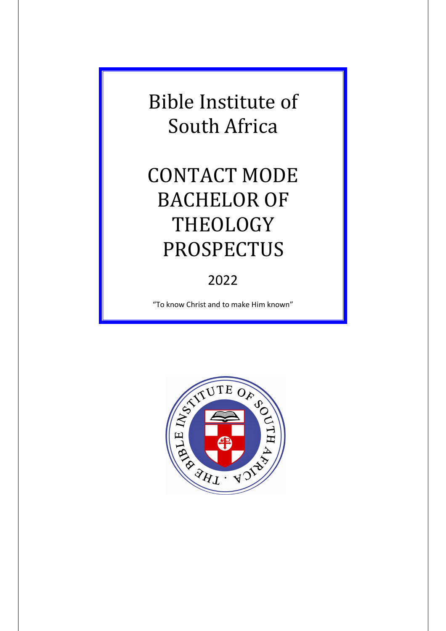Bible Institute of South Africa

# **CONTACT MODE BACHELOR OF** THEOLOGY PROSPECTUS

## 2022

"To know Christ and to make Him known"

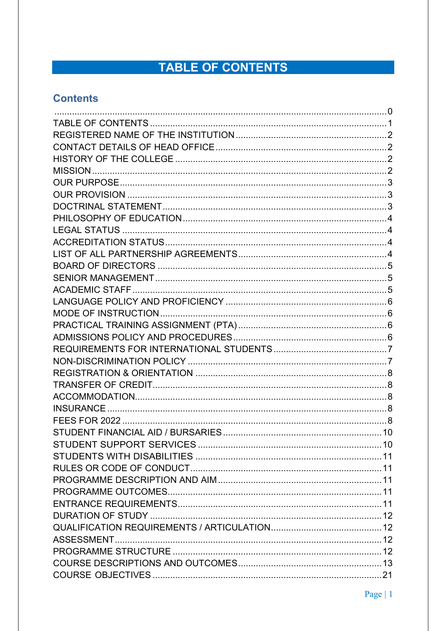# TABLE OF CONTENTS

### **Contents**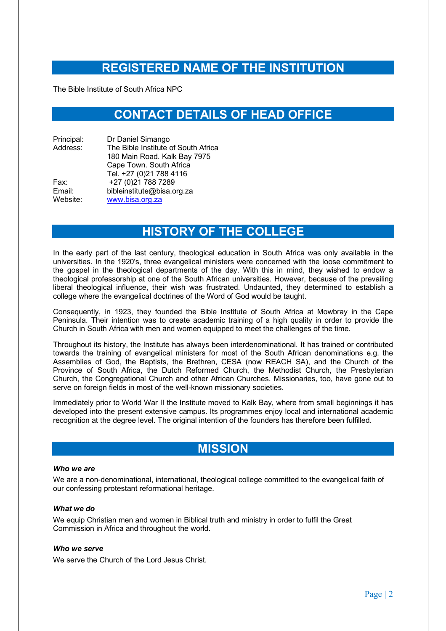### **REGISTERED NAME OF THE INSTITUTION**

The Bible Institute of South Africa NPC

### **CONTACT DETAILS OF HEAD OFFICE**

Principal: Dr Daniel Simango Address: The Bible Institute of South Africa 180 Main Road. Kalk Bay 7975 Cape Town. South Africa Tel. +27 (0)21 788 4116 Fax: +27 (0)21 788 7289 Email: bibleinstitute@bisa.org.za Website: www.bisa.org.za

### **HISTORY OF THE COLLEGE**

In the early part of the last century, theological education in South Africa was only available in the universities. In the 1920's, three evangelical ministers were concerned with the loose commitment to the gospel in the theological departments of the day. With this in mind, they wished to endow a theological professorship at one of the South African universities. However, because of the prevailing liberal theological influence, their wish was frustrated. Undaunted, they determined to establish a college where the evangelical doctrines of the Word of God would be taught.

Consequently, in 1923, they founded the Bible Institute of South Africa at Mowbray in the Cape Peninsula. Their intention was to create academic training of a high quality in order to provide the Church in South Africa with men and women equipped to meet the challenges of the time.

Throughout its history, the Institute has always been interdenominational. It has trained or contributed towards the training of evangelical ministers for most of the South African denominations e.g. the Assemblies of God, the Baptists, the Brethren, CESA (now REACH SA), and the Church of the Province of South Africa, the Dutch Reformed Church, the Methodist Church, the Presbyterian Church, the Congregational Church and other African Churches. Missionaries, too, have gone out to serve on foreign fields in most of the well-known missionary societies.

Immediately prior to World War II the Institute moved to Kalk Bay, where from small beginnings it has developed into the present extensive campus. Its programmes enjoy local and international academic recognition at the degree level. The original intention of the founders has therefore been fulfilled.

### **MISSION**

#### *Who we are*

We are a non-denominational, international, theological college committed to the evangelical faith of our confessing protestant reformational heritage.

#### *What we do*

We equip Christian men and women in Biblical truth and ministry in order to fulfil the Great Commission in Africa and throughout the world.

#### *Who we serve*

We serve the Church of the Lord Jesus Christ.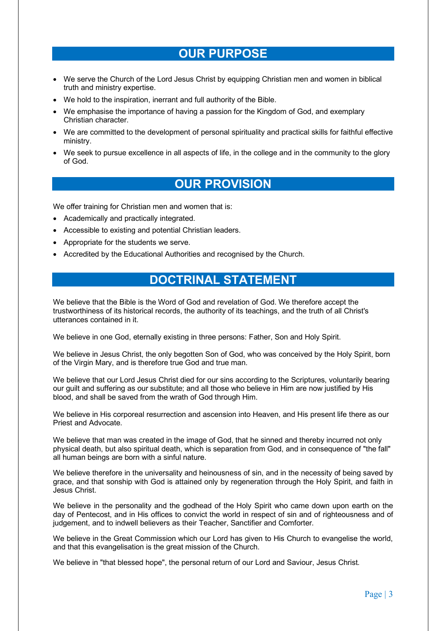### **OUR PURPOSE**

- We serve the Church of the Lord Jesus Christ by equipping Christian men and women in biblical truth and ministry expertise.
- We hold to the inspiration, inerrant and full authority of the Bible.
- We emphasise the importance of having a passion for the Kingdom of God, and exemplary Christian character.
- We are committed to the development of personal spirituality and practical skills for faithful effective ministry.
- We seek to pursue excellence in all aspects of life, in the college and in the community to the glory of God.

### **OUR PROVISION**

We offer training for Christian men and women that is:

- Academically and practically integrated.
- Accessible to existing and potential Christian leaders.
- Appropriate for the students we serve.
- Accredited by the Educational Authorities and recognised by the Church.

### **DOCTRINAL STATEMENT**

We believe that the Bible is the Word of God and revelation of God. We therefore accept the trustworthiness of its historical records, the authority of its teachings, and the truth of all Christ's utterances contained in it.

We believe in one God, eternally existing in three persons: Father, Son and Holy Spirit.

We believe in Jesus Christ, the only begotten Son of God, who was conceived by the Holy Spirit, born of the Virgin Mary, and is therefore true God and true man.

We believe that our Lord Jesus Christ died for our sins according to the Scriptures, voluntarily bearing our guilt and suffering as our substitute; and all those who believe in Him are now justified by His blood, and shall be saved from the wrath of God through Him.

We believe in His corporeal resurrection and ascension into Heaven, and His present life there as our Priest and Advocate.

We believe that man was created in the image of God, that he sinned and thereby incurred not only physical death, but also spiritual death, which is separation from God, and in consequence of "the fall" all human beings are born with a sinful nature.

We believe therefore in the universality and heinousness of sin, and in the necessity of being saved by grace, and that sonship with God is attained only by regeneration through the Holy Spirit, and faith in Jesus Christ.

We believe in the personality and the godhead of the Holy Spirit who came down upon earth on the day of Pentecost, and in His offices to convict the world in respect of sin and of righteousness and of judgement, and to indwell believers as their Teacher, Sanctifier and Comforter.

We believe in the Great Commission which our Lord has given to His Church to evangelise the world. and that this evangelisation is the great mission of the Church.

We believe in "that blessed hope", the personal return of our Lord and Saviour, Jesus Christ.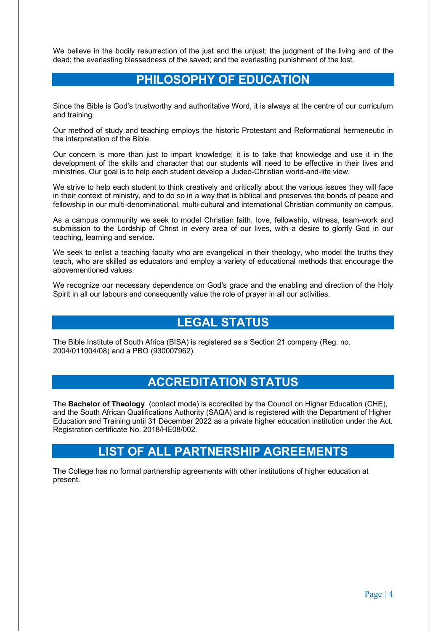We believe in the bodily resurrection of the just and the unjust; the judgment of the living and of the dead; the everlasting blessedness of the saved; and the everlasting punishment of the lost.

### **PHILOSOPHY OF EDUCATION**

Since the Bible is God's trustworthy and authoritative Word, it is always at the centre of our curriculum and training.

Our method of study and teaching employs the historic Protestant and Reformational hermeneutic in the interpretation of the Bible.

Our concern is more than just to impart knowledge; it is to take that knowledge and use it in the development of the skills and character that our students will need to be effective in their lives and ministries. Our goal is to help each student develop a Judeo-Christian world-and-life view.

We strive to help each student to think creatively and critically about the various issues they will face in their context of ministry, and to do so in a way that is biblical and preserves the bonds of peace and fellowship in our multi-denominational, multi-cultural and international Christian community on campus.

As a campus community we seek to model Christian faith, love, fellowship, witness, team-work and submission to the Lordship of Christ in every area of our lives, with a desire to glorify God in our teaching, learning and service.

We seek to enlist a teaching faculty who are evangelical in their theology, who model the truths they teach, who are skilled as educators and employ a variety of educational methods that encourage the abovementioned values.

We recognize our necessary dependence on God's grace and the enabling and direction of the Holy Spirit in all our labours and consequently value the role of prayer in all our activities.

### **LEGAL STATUS**

The Bible Institute of South Africa (BISA) is registered as a Section 21 company (Reg. no. 2004/011004/08) and a PBO (930007962).

### **ACCREDITATION STATUS**

The **Bachelor of Theology** (contact mode) is accredited by the Council on Higher Education (CHE), and the South African Qualifications Authority (SAQA) and is registered with the Department of Higher Education and Training until 31 December 2022 as a private higher education institution under the Act. Registration certificate No. 2018/HE08/002.

### **LIST OF ALL PARTNERSHIP AGREEMENTS**

The College has no formal partnership agreements with other institutions of higher education at present.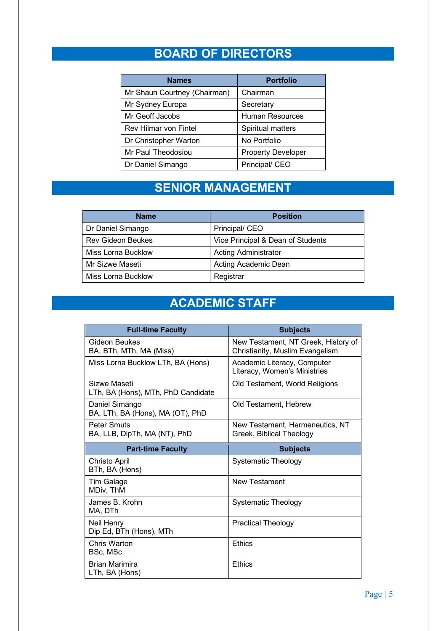# **BOARD OF DIRECTORS**

| <b>Names</b>                 | <b>Portfolio</b>          |
|------------------------------|---------------------------|
| Mr Shaun Courtney (Chairman) | Chairman                  |
| Mr Sydney Europa             | Secretary                 |
| Mr Geoff Jacobs              | <b>Human Resources</b>    |
| Rev Hilmar von Fintel        | Spiritual matters         |
| Dr Christopher Warton        | No Portfolio              |
| Mr Paul Theodosiou           | <b>Property Developer</b> |
| Dr Daniel Simango            | Principal/ CEO            |

# **SENIOR MANAGEMENT**

| <b>Name</b>              | <b>Position</b>                   |
|--------------------------|-----------------------------------|
| Dr Daniel Simango        | Principal/ CEO                    |
| <b>Rev Gideon Beukes</b> | Vice Principal & Dean of Students |
| Miss Lorna Bucklow       | <b>Acting Administrator</b>       |
| Mr Sizwe Maseti          | Acting Academic Dean              |
| Miss Lorna Bucklow       | Registrar                         |

# **ACADEMIC STAFF**

| <b>Full-time Faculty</b>                           | <b>Subjects</b>                                                        |
|----------------------------------------------------|------------------------------------------------------------------------|
| Gideon Beukes<br>BA, BTh, MTh, MA (Miss)           | New Testament, NT Greek, History of<br>Christianity, Muslim Evangelism |
| Miss Lorna Bucklow LTh, BA (Hons)                  | Academic Literacy, Computer<br>Literacy, Women's Ministries            |
| Sizwe Maseti<br>LTh, BA (Hons), MTh, PhD Candidate | Old Testament, World Religions                                         |
| Daniel Simango<br>BA, LTh, BA (Hons), MA (OT), PhD | Old Testament, Hebrew                                                  |
| Peter Smuts<br>BA, LLB, DipTh, MA (NT), PhD        | New Testament, Hermeneutics, NT<br>Greek, Biblical Theology            |
| <b>Part-time Faculty</b>                           | <b>Subjects</b>                                                        |
| Christo April<br>BTh, BA (Hons)                    | <b>Systematic Theology</b>                                             |
| <b>Tim Galage</b><br>MDiv, ThM                     | <b>New Testament</b>                                                   |
| James B. Krohn<br>MA, DTh                          | <b>Systematic Theology</b>                                             |
| Neil Henry<br>Dip Ed, BTh (Hons), MTh              | <b>Practical Theology</b>                                              |
| <b>Chris Warton</b><br>BSc, MSc                    | <b>Ethics</b>                                                          |
| <b>Brian Marimira</b><br>LTh, BA (Hons)            | <b>Ethics</b>                                                          |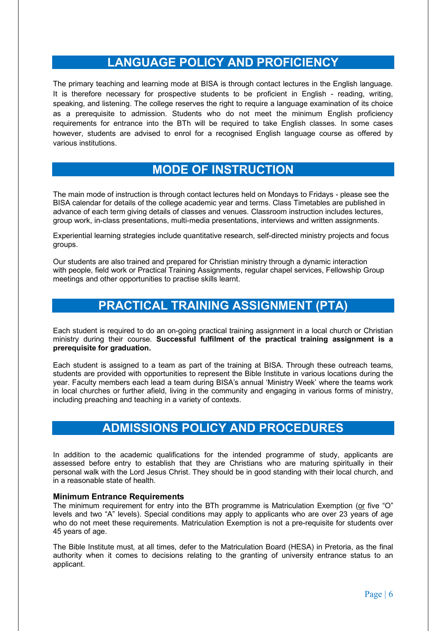### **LANGUAGE POLICY AND PROFICIENCY**

The primary teaching and learning mode at BISA is through contact lectures in the English language. It is therefore necessary for prospective students to be proficient in English - reading, writing, speaking, and listening. The college reserves the right to require a language examination of its choice as a prerequisite to admission. Students who do not meet the minimum English proficiency requirements for entrance into the BTh will be required to take English classes. In some cases however, students are advised to enrol for a recognised English language course as offered by various institutions.

### **MODE OF INSTRUCTION**

The main mode of instruction is through contact lectures held on Mondays to Fridays - please see the BISA calendar for details of the college academic year and terms. Class Timetables are published in advance of each term giving details of classes and venues. Classroom instruction includes lectures, group work, in-class presentations, multi-media presentations, interviews and written assignments.

Experiential learning strategies include quantitative research, self-directed ministry projects and focus groups.

Our students are also trained and prepared for Christian ministry through a dynamic interaction with people, field work or Practical Training Assignments, regular chapel services, Fellowship Group meetings and other opportunities to practise skills learnt.

### **PRACTICAL TRAINING ASSIGNMENT (PTA)**

Each student is required to do an on-going practical training assignment in a local church or Christian ministry during their course. **Successful fulfilment of the practical training assignment is a prerequisite for graduation.** 

Each student is assigned to a team as part of the training at BISA. Through these outreach teams, students are provided with opportunities to represent the Bible Institute in various locations during the year. Faculty members each lead a team during BISA's annual 'Ministry Week' where the teams work in local churches or further afield, living in the community and engaging in various forms of ministry, including preaching and teaching in a variety of contexts.

### **ADMISSIONS POLICY AND PROCEDURES**

In addition to the academic qualifications for the intended programme of study, applicants are assessed before entry to establish that they are Christians who are maturing spiritually in their personal walk with the Lord Jesus Christ. They should be in good standing with their local church, and in a reasonable state of health.

#### **Minimum Entrance Requirements**

The minimum requirement for entry into the BTh programme is Matriculation Exemption (or five "O" levels and two "A" levels). Special conditions may apply to applicants who are over 23 years of age who do not meet these requirements. Matriculation Exemption is not a pre-requisite for students over 45 years of age.

The Bible Institute must, at all times, defer to the Matriculation Board (HESA) in Pretoria, as the final authority when it comes to decisions relating to the granting of university entrance status to an applicant.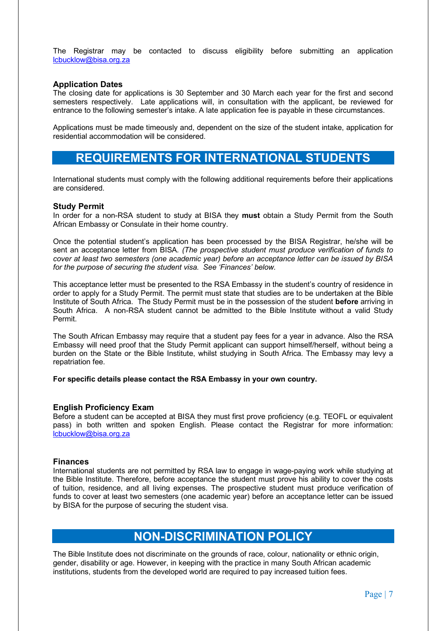The Registrar may be contacted to discuss eligibility before submitting an application lcbucklow@bisa.org.za

#### **Application Dates**

The closing date for applications is 30 September and 30 March each year for the first and second semesters respectively. Late applications will, in consultation with the applicant, be reviewed for entrance to the following semester's intake. A late application fee is payable in these circumstances.

Applications must be made timeously and, dependent on the size of the student intake, application for residential accommodation will be considered.

### **REQUIREMENTS FOR INTERNATIONAL STUDENTS**

International students must comply with the following additional requirements before their applications are considered.

#### **Study Permit**

In order for a non-RSA student to study at BISA they **must** obtain a Study Permit from the South African Embassy or Consulate in their home country.

Once the potential student's application has been processed by the BISA Registrar, he/she will be sent an acceptance letter from BISA*. (The prospective student must produce verification of funds to cover at least two semesters (one academic year) before an acceptance letter can be issued by BISA for the purpose of securing the student visa. See 'Finances' below.*

This acceptance letter must be presented to the RSA Embassy in the student's country of residence in order to apply for a Study Permit. The permit must state that studies are to be undertaken at the Bible Institute of South Africa. The Study Permit must be in the possession of the student **before** arriving in South Africa. A non-RSA student cannot be admitted to the Bible Institute without a valid Study Permit.

The South African Embassy may require that a student pay fees for a year in advance. Also the RSA Embassy will need proof that the Study Permit applicant can support himself/herself, without being a burden on the State or the Bible Institute, whilst studying in South Africa. The Embassy may levy a repatriation fee.

**For specific details please contact the RSA Embassy in your own country.**

#### **English Proficiency Exam**

Before a student can be accepted at BISA they must first prove proficiency (e.g. TEOFL or equivalent pass) in both written and spoken English. Please contact the Registrar for more information: lcbucklow@bisa.org.za

#### **Finances**

International students are not permitted by RSA law to engage in wage-paying work while studying at the Bible Institute. Therefore, before acceptance the student must prove his ability to cover the costs of tuition, residence, and all living expenses. The prospective student must produce verification of funds to cover at least two semesters (one academic year) before an acceptance letter can be issued by BISA for the purpose of securing the student visa.

### **NON-DISCRIMINATION POLICY**

The Bible Institute does not discriminate on the grounds of race, colour, nationality or ethnic origin, gender, disability or age. However, in keeping with the practice in many South African academic institutions, students from the developed world are required to pay increased tuition fees.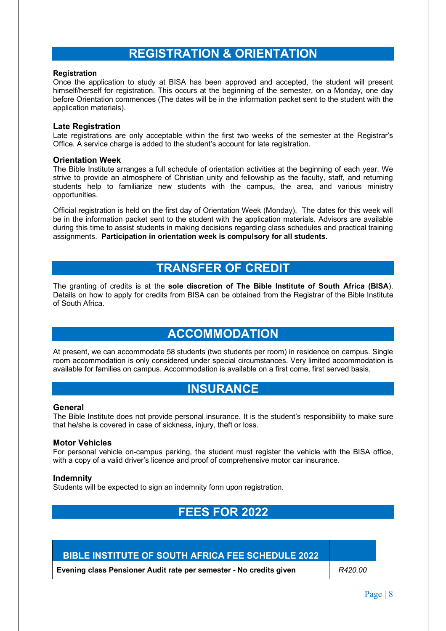### **REGISTRATION & ORIENTATION**

#### **Registration**

Once the application to study at BISA has been approved and accepted, the student will present himself/herself for registration. This occurs at the beginning of the semester, on a Monday, one day before Orientation commences (The dates will be in the information packet sent to the student with the application materials).

#### **Late Registration**

Late registrations are only acceptable within the first two weeks of the semester at the Registrar's Office. A service charge is added to the student's account for late registration.

#### **Orientation Week**

The Bible Institute arranges a full schedule of orientation activities at the beginning of each year. We strive to provide an atmosphere of Christian unity and fellowship as the faculty, staff, and returning students help to familiarize new students with the campus, the area, and various ministry opportunities.

Official registration is held on the first day of Orientation Week (Monday). The dates for this week will be in the information packet sent to the student with the application materials. Advisors are available during this time to assist students in making decisions regarding class schedules and practical training assignments. **Participation in orientation week is compulsory for all students.**

### **TRANSFER OF CREDIT**

The granting of credits is at the **sole discretion of The Bible Institute of South Africa (BISA**). Details on how to apply for credits from BISA can be obtained from the Registrar of the Bible Institute of South Africa.

### **ACCOMMODATION**

At present, we can accommodate 58 students (two students per room) in residence on campus. Single room accommodation is only considered under special circumstances. Very limited accommodation is available for families on campus. Accommodation is available on a first come, first served basis.

### **INSURANCE**

#### **General**

The Bible Institute does not provide personal insurance. It is the student's responsibility to make sure that he/she is covered in case of sickness, injury, theft or loss.

#### **Motor Vehicles**

For personal vehicle on-campus parking, the student must register the vehicle with the BISA office, with a copy of a valid driver's licence and proof of comprehensive motor car insurance.

#### **Indemnity**

Students will be expected to sign an indemnity form upon registration.

### **FEES FOR 2022**

| <b>BIBLE INSTITUTE OF SOUTH AFRICA FEE SCHEDULE 2022</b>           |         |
|--------------------------------------------------------------------|---------|
| Evening class Pensioner Audit rate per semester - No credits given | R420.00 |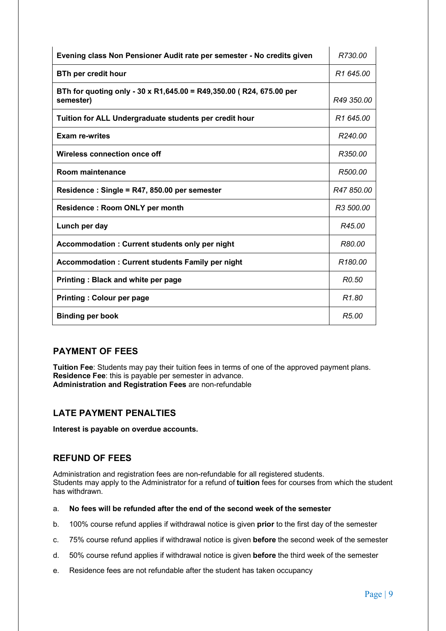| Evening class Non Pensioner Audit rate per semester - No credits given           | R730.00               |
|----------------------------------------------------------------------------------|-----------------------|
| <b>BTh per credit hour</b>                                                       | R <sub>1</sub> 645.00 |
| BTh for quoting only - 30 x R1,645.00 = R49,350.00 (R24, 675.00 per<br>semester) | R49 350.00            |
| Tuition for ALL Undergraduate students per credit hour                           | R <sub>1</sub> 645.00 |
| <b>Exam re-writes</b>                                                            | R <sub>240.00</sub>   |
| Wireless connection once off                                                     | R350.00               |
| Room maintenance                                                                 | R500.00               |
| Residence: Single = R47, 850.00 per semester                                     | R47 850.00            |
| <b>Residence: Room ONLY per month</b>                                            | R <sub>3</sub> 500.00 |
| Lunch per day                                                                    | R45.00                |
| <b>Accommodation: Current students only per night</b>                            | R80.00                |
| <b>Accommodation: Current students Family per night</b>                          | R <sub>180.00</sub>   |
| <b>Printing: Black and white per page</b>                                        | R <sub>0</sub> .50    |
| <b>Printing: Colour per page</b>                                                 | R <sub>1.80</sub>     |
| <b>Binding per book</b>                                                          | R <sub>5.00</sub>     |

#### **PAYMENT OF FEES**

**Tuition Fee**: Students may pay their tuition fees in terms of one of the approved payment plans. **Residence Fee**: this is payable per semester in advance. **Administration and Registration Fees** are non-refundable

#### **LATE PAYMENT PENALTIES**

**Interest is payable on overdue accounts.**

#### **REFUND OF FEES**

Administration and registration fees are non-refundable for all registered students. Students may apply to the Administrator for a refund of **tuition** fees for courses from which the student has withdrawn.

- a. **No fees will be refunded after the end of the second week of the semester**
- b. 100% course refund applies if withdrawal notice is given **prior** to the first day of the semester
- c. 75% course refund applies if withdrawal notice is given **before** the second week of the semester
- d. 50% course refund applies if withdrawal notice is given **before** the third week of the semester
- e. Residence fees are not refundable after the student has taken occupancy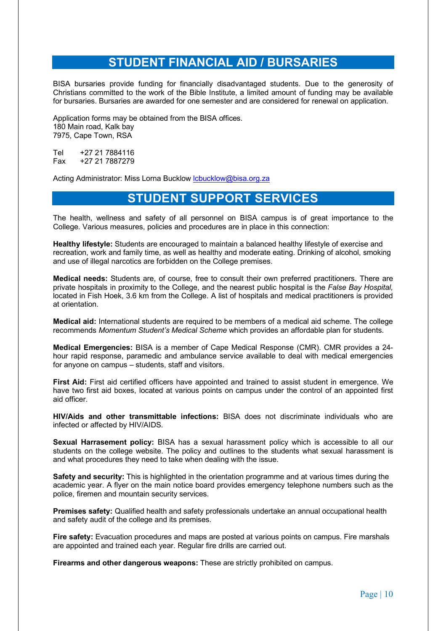### **STUDENT FINANCIAL AID / BURSARIES**

BISA bursaries provide funding for financially disadvantaged students. Due to the generosity of Christians committed to the work of the Bible Institute, a limited amount of funding may be available for bursaries. Bursaries are awarded for one semester and are considered for renewal on application.

Application forms may be obtained from the BISA offices. 180 Main road, Kalk bay 7975, Cape Town, RSA

Tel +27 21 7884116 Fax +27 21 7887279

Acting Administrator: Miss Lorna Bucklow *lcbucklow@bisa.org.za* 

### **STUDENT SUPPORT SERVICES**

The health, wellness and safety of all personnel on BISA campus is of great importance to the College. Various measures, policies and procedures are in place in this connection:

**Healthy lifestyle:** Students are encouraged to maintain a balanced healthy lifestyle of exercise and recreation, work and family time, as well as healthy and moderate eating. Drinking of alcohol, smoking and use of illegal narcotics are forbidden on the College premises.

**Medical needs:** Students are, of course, free to consult their own preferred practitioners. There are private hospitals in proximity to the College, and the nearest public hospital is the *False Bay Hospital,*  located in Fish Hoek, 3.6 km from the College. A list of hospitals and medical practitioners is provided at orientation.

**Medical aid:** International students are required to be members of a medical aid scheme. The college recommends *Momentum Student's Medical Scheme* which provides an affordable plan for students.

**Medical Emergencies:** BISA is a member of Cape Medical Response (CMR). CMR provides a 24 hour rapid response, paramedic and ambulance service available to deal with medical emergencies for anyone on campus – students, staff and visitors.

**First Aid:** First aid certified officers have appointed and trained to assist student in emergence. We have two first aid boxes, located at various points on campus under the control of an appointed first aid officer.

**HIV/Aids and other transmittable infections:** BISA does not discriminate individuals who are infected or affected by HIV/AIDS.

**Sexual Harrasement policy:** BISA has a sexual harassment policy which is accessible to all our students on the college website. The policy and outlines to the students what sexual harassment is and what procedures they need to take when dealing with the issue.

**Safety and security:** This is highlighted in the orientation programme and at various times during the academic year. A flyer on the main notice board provides emergency telephone numbers such as the police, firemen and mountain security services.

**Premises safety:** Qualified health and safety professionals undertake an annual occupational health and safety audit of the college and its premises.

**Fire safety:** Evacuation procedures and maps are posted at various points on campus. Fire marshals are appointed and trained each year. Regular fire drills are carried out.

**Firearms and other dangerous weapons:** These are strictly prohibited on campus.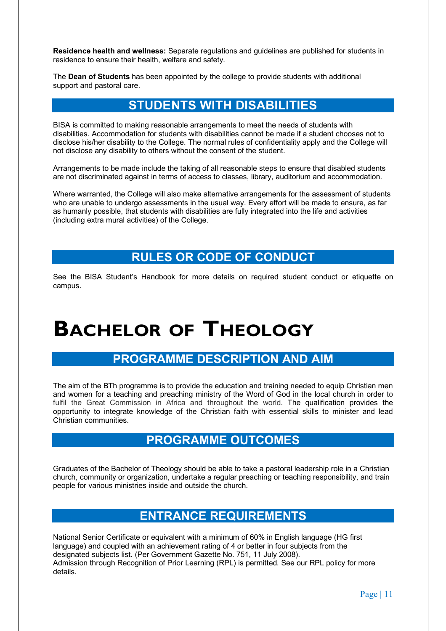**Residence health and wellness:** Separate regulations and guidelines are published for students in residence to ensure their health, welfare and safety.

The **Dean of Students** has been appointed by the college to provide students with additional support and pastoral care.

### **STUDENTS WITH DISABILITIES**

BISA is committed to making reasonable arrangements to meet the needs of students with disabilities. Accommodation for students with disabilities cannot be made if a student chooses not to disclose his/her disability to the College. The normal rules of confidentiality apply and the College will not disclose any disability to others without the consent of the student.

Arrangements to be made include the taking of all reasonable steps to ensure that disabled students are not discriminated against in terms of access to classes, library, auditorium and accommodation.

Where warranted, the College will also make alternative arrangements for the assessment of students who are unable to undergo assessments in the usual way. Every effort will be made to ensure, as far as humanly possible, that students with disabilities are fully integrated into the life and activities (including extra mural activities) of the College.

### **RULES OR CODE OF CONDUCT**

See the BISA Student's Handbook for more details on required student conduct or etiquette on campus.

# **BACHELOR OF THEOLOGY**

### **PROGRAMME DESCRIPTION AND AIM**

The aim of the BTh programme is to provide the education and training needed to equip Christian men and women for a teaching and preaching ministry of the Word of God in the local church in order to fulfil the Great Commission in Africa and throughout the world. The qualification provides the opportunity to integrate knowledge of the Christian faith with essential skills to minister and lead Christian communities.

### **PROGRAMME OUTCOMES**

Graduates of the Bachelor of Theology should be able to take a pastoral leadership role in a Christian church, community or organization, undertake a regular preaching or teaching responsibility, and train people for various ministries inside and outside the church.

### **ENTRANCE REQUIREMENTS**

National Senior Certificate or equivalent with a minimum of 60% in English language (HG first language) and coupled with an achievement rating of 4 or better in four subjects from the designated subjects list. (Per Government Gazette No. 751, 11 July 2008). Admission through Recognition of Prior Learning (RPL) is permitted. See our RPL policy for more details.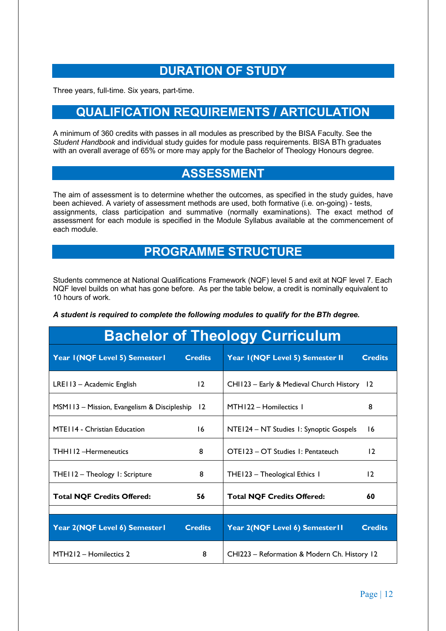# **DURATION OF STUDY**

Three years, full-time. Six years, part-time.

## **QUALIFICATION REQUIREMENTS / ARTICULATION**

A minimum of 360 credits with passes in all modules as prescribed by the BISA Faculty. See the *Student Handbook* and individual study guides for module pass requirements. BISA BTh graduates with an overall average of 65% or more may apply for the Bachelor of Theology Honours degree.

### **ASSESSMENT**

The aim of assessment is to determine whether the outcomes, as specified in the study guides, have been achieved. A variety of assessment methods are used, both formative (i.e. on-going) - tests, assignments, class participation and summative (normally examinations). The exact method of assessment for each module is specified in the Module Syllabus available at the commencement of each module.

### **PROGRAMME STRUCTURE**

Students commence at National Qualifications Framework (NQF) level 5 and exit at NQF level 7. Each NQF level builds on what has gone before. As per the table below, a credit is nominally equivalent to 10 hours of work.

**Bachelor of Theology Curriculum Year 1(NQF Level 5) Semester1 Credits Year 1(NQF Level 5) Semester II Credits** LRE113 – Academic English 12 CHI123 – Early & Medieval Church History 12 MSM113 – Mission, Evangelism & Discipleship 12 | MTH122 – Homilectics 1 8 MTE114 - Christian Education 16 | NTE124 – NT Studies 1: Synoptic Gospels 16 THH112 –Hermeneutics 8 OTE123 – OT Studies 1: Pentateuch 12 THE112 – Theology 1: Scripture  $8$  THE123 – Theological Ethics 1 12 **Total NQF Credits Offered: 56 Total NQF Credits Offered: 60 Year 2(NQF Level 6) Semester1 Credits Year 2(NQF Level 6) Semester1I Credits** MTH212 – Homilectics 2 8 CHI223 – Reformation & Modern Ch. History 12

*A student is required to complete the following modules to qualify for the BTh degree.*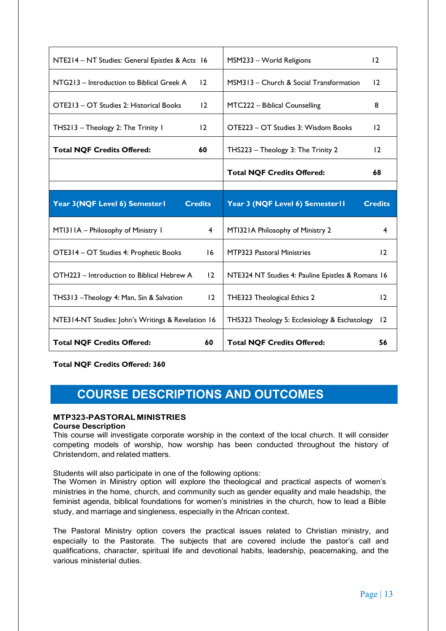| NTE214 - NT Studies: General Epistles & Acts 16    |                | MSM233 - World Religions                          | 12             |
|----------------------------------------------------|----------------|---------------------------------------------------|----------------|
| NTG213 - Introduction to Biblical Greek A          | 12             | MSM313 - Church & Social Transformation           | 12             |
| OTE213 - OT Studies 2: Historical Books            | 12             | MTC222 - Biblical Counselling                     | 8              |
| THS213 - Theology 2: The Trinity 1                 | 12             | OTE223 - OT Studies 3: Wisdom Books               | 12             |
| <b>Total NQF Credits Offered:</b>                  | 60             | THS223 - Theology 3: The Trinity 2                | 12             |
|                                                    |                | <b>Total NQF Credits Offered:</b>                 | 68             |
|                                                    |                |                                                   |                |
|                                                    |                |                                                   |                |
| Year 3(NQF Level 6) Semester I                     | <b>Credits</b> | Year 3 (NQF Level 6) Semester II                  | <b>Credits</b> |
| MTI311A - Philosophy of Ministry 1                 | 4              | MTI321A Philosophy of Ministry 2                  | 4              |
| OTE314 - OT Studies 4: Prophetic Books             | 16             | <b>MTP323 Pastoral Ministries</b>                 | 12             |
| OTH223 - Introduction to Biblical Hebrew A         | 12             | NTE324 NT Studies 4: Pauline Epistles & Romans 16 |                |
| THS313 - Theology 4: Man, Sin & Salvation          | 12             | THE323 Theological Ethics 2                       | 12             |
| NTE314-NT Studies: John's Writings & Revelation 16 |                | THS323 Theology 5: Ecclesiology & Eschatology     | 12             |

**Total NQF Credits Offered: 360**

### **COURSE DESCRIPTIONS AND OUTCOMES**

### **MTP323-PASTORALMINISTRIES**

#### **Course Description**

This course will investigate corporate worship in the context of the local church. It will consider competing models of worship, how worship has been conducted throughout the history of Christendom, and related matters.

Students will also participate in one of the following options:

The Women in Ministry option will explore the theological and practical aspects of women's ministries in the home, church, and community such as gender equality and male headship, the feminist agenda, biblical foundations for women's ministries in the church, how to lead a Bible study, and marriage and singleness, especially in the African context.

The Pastoral Ministry option covers the practical issues related to Christian ministry, and especially to the Pastorate. The subjects that are covered include the pastor's call and qualifications, character, spiritual life and devotional habits, leadership, peacemaking, and the various ministerial duties.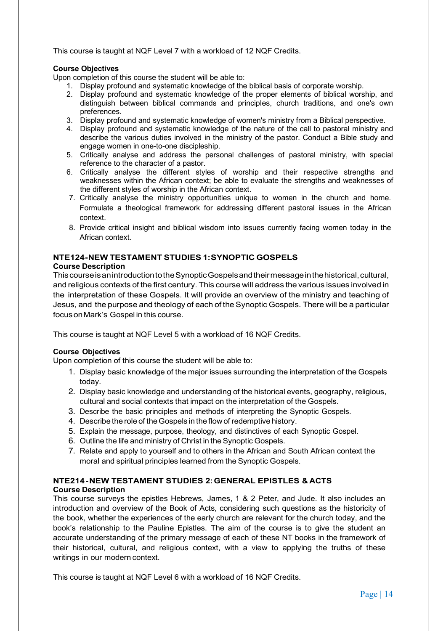This course is taught at NQF Level 7 with a workload of 12 NQF Credits.

#### **Course Objectives**

Upon completion of this course the student will be able to:

- 1. Display profound and systematic knowledge of the biblical basis of corporate worship.
- 2. Display profound and systematic knowledge of the proper elements of biblical worship, and distinguish between biblical commands and principles, church traditions, and one's own preferences.
- 3. Display profound and systematic knowledge of women's ministry from a Biblical perspective.
- 4. Display profound and systematic knowledge of the nature of the call to pastoral ministry and describe the various duties involved in the ministry of the pastor. Conduct a Bible study and engage women in one-to-one discipleship.
- 5. Critically analyse and address the personal challenges of pastoral ministry, with special reference to the character of a pastor.
- 6. Critically analyse the different styles of worship and their respective strengths and weaknesses within the African context; be able to evaluate the strengths and weaknesses of the different styles of worship in the African context.
- 7. Critically analyse the ministry opportunities unique to women in the church and home. Formulate a theological framework for addressing different pastoral issues in the African context.
- 8. Provide critical insight and biblical wisdom into issues currently facing women today in the African context.

#### **NTE124-NEW TESTAMENT STUDIES 1:SYNOPTIC GOSPELS**

#### **Course Description**

ThiscourseisanintroductiontotheSynopticGospelsandtheirmessageinthehistorical,cultural, and religious contexts of the first century. This course will address the various issues involved in the interpretation of these Gospels. It will provide an overview of the ministry and teaching of Jesus, and the purpose and theology of each of theSynoptic Gospels. There will be a particular focusonMark's Gospel in this course.

This course is taught at NQF Level 5 with a workload of 16 NQF Credits.

#### **Course Objectives**

Upon completion of this course the student will be able to:

- 1. Display basic knowledge of the major issues surrounding the interpretation of the Gospels today.
- 2. Display basic knowledge and understanding of the historical events, geography, religious, cultural and social contexts that impact on the interpretation of the Gospels.
- 3. Describe the basic principles and methods of interpreting the Synoptic Gospels.
- 4. Describe the role of the Gospels in the flow of redemptive history.
- 5. Explain the message, purpose, theology, and distinctives of each Synoptic Gospel.
- 6. Outline the life and ministry of Christ in the Synoptic Gospels.
- 7. Relate and apply to yourself and to others in the African and South African context the moral and spiritual principles learned from the Synoptic Gospels.

#### **NTE214-NEW TESTAMENT STUDIES 2:GENERAL EPISTLES & ACTS Course Description**

This course surveys the epistles Hebrews, James, 1 & 2 Peter, and Jude. It also includes an introduction and overview of the Book of Acts, considering such questions as the historicity of the book, whether the experiences of the early church are relevant for the church today, and the book's relationship to the Pauline Epistles. The aim of the course is to give the student an accurate understanding of the primary message of each of these NT books in the framework of their historical, cultural, and religious context, with a view to applying the truths of these writings in our modern context.

This course is taught at NQF Level 6 with a workload of 16 NQF Credits.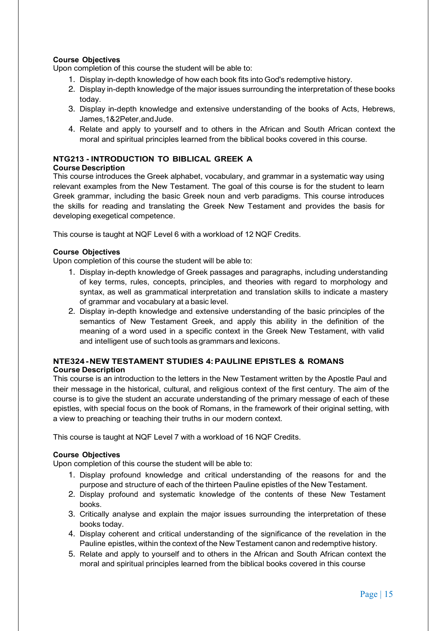#### **Course Objectives**

Upon completion of this course the student will be able to:

- 1. Display in-depth knowledge of how each book fits into God's redemptive history.
- 2. Display in-depth knowledge of the major issues surrounding the interpretation of these books today.
- 3. Display in-depth knowledge and extensive understanding of the books of Acts, Hebrews, James, 1&2Peter, and Jude.
- 4. Relate and apply to yourself and to others in the African and South African context the moral and spiritual principles learned from the biblical books covered in this course.

#### **NTG213 - INTRODUCTION TO BIBLICAL GREEK A**

#### **Course Description**

This course introduces the Greek alphabet, vocabulary, and grammar in a systematic way using relevant examples from the New Testament. The goal of this course is for the student to learn Greek grammar, including the basic Greek noun and verb paradigms. This course introduces the skills for reading and translating the Greek New Testament and provides the basis for developing exegetical competence.

This course is taught at NQF Level 6 with a workload of 12 NQF Credits.

#### **Course Objectives**

Upon completion of this course the student will be able to:

- 1. Display in-depth knowledge of Greek passages and paragraphs, including understanding of key terms, rules, concepts, principles, and theories with regard to morphology and syntax, as well as grammatical interpretation and translation skills to indicate a mastery of grammar and vocabulary at a basic level.
- 2. Display in-depth knowledge and extensive understanding of the basic principles of the semantics of New Testament Greek, and apply this ability in the definition of the meaning of a word used in a specific context in the Greek New Testament, with valid and intelligent use of such tools as grammars and lexicons.

#### **NTE324-NEW TESTAMENT STUDIES 4:PAULINE EPISTLES & ROMANS Course Description**

This course is an introduction to the letters in the New Testament written by the Apostle Paul and their message in the historical, cultural, and religious context of the first century. The aim of the course is to give the student an accurate understanding of the primary message of each of these epistles, with special focus on the book of Romans, in the framework of their original setting, with a view to preaching or teaching their truths in our modern context.

This course is taught at NQF Level 7 with a workload of 16 NQF Credits.

#### **Course Objectives**

- 1. Display profound knowledge and critical understanding of the reasons for and the purpose and structure of each of the thirteen Pauline epistles of the New Testament.
- 2. Display profound and systematic knowledge of the contents of these New Testament books.
- 3. Critically analyse and explain the major issues surrounding the interpretation of these books today.
- 4. Display coherent and critical understanding of the significance of the revelation in the Pauline epistles, within the context of the New Testament canon and redemptive history.
- 5. Relate and apply to yourself and to others in the African and South African context the moral and spiritual principles learned from the biblical books covered in this course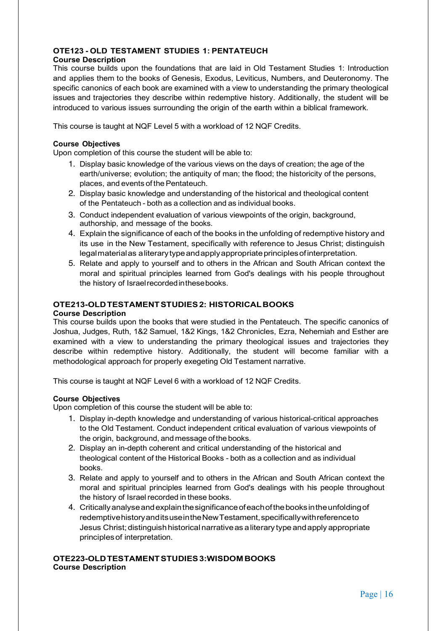### **OTE123 - OLD TESTAMENT STUDIES 1: PENTATEUCH**

#### **Course Description**

This course builds upon the foundations that are laid in Old Testament Studies 1: Introduction and applies them to the books of Genesis, Exodus, Leviticus, Numbers, and Deuteronomy. The specific canonics of each book are examined with a view to understanding the primary theological issues and trajectories they describe within redemptive history. Additionally, the student will be introduced to various issues surrounding the origin of the earth within a biblical framework.

This course is taught at NQF Level 5 with a workload of 12 NQF Credits.

#### **Course Objectives**

Upon completion of this course the student will be able to:

- 1. Display basic knowledge of the various views on the days of creation; the age of the earth/universe; evolution; the antiquity of man; the flood; the historicity of the persons, places, and events of the Pentateuch.
- 2. Display basic knowledge and understanding of the historical and theological content of the Pentateuch - both as a collection and as individual books.
- 3. Conduct independent evaluation of various viewpoints of the origin, background, authorship, and message of the books.
- 4. Explain the significance of each of the books in the unfolding of redemptive history and its use in the New Testament, specifically with reference to Jesus Christ; distinguish legal material as a literary type and apply appropriate principles of interpretation.
- 5. Relate and apply to yourself and to others in the African and South African context the moral and spiritual principles learned from God's dealings with his people throughout the history of Israel recorded in these books.

#### **OTE213-OLDTESTAMENTSTUDIES2: HISTORICALBOOKS**

#### **Course Description**

This course builds upon the books that were studied in the Pentateuch. The specific canonics of Joshua, Judges, Ruth, 1&2 Samuel, 1&2 Kings, 1&2 Chronicles, Ezra, Nehemiah and Esther are examined with a view to understanding the primary theological issues and trajectories they describe within redemptive history. Additionally, the student will become familiar with a methodological approach for properly exegeting Old Testament narrative.

This course is taught at NQF Level 6 with a workload of 12 NQF Credits.

#### **Course Objectives**

Upon completion of this course the student will be able to:

- 1. Display in-depth knowledge and understanding of various historical-critical approaches to the Old Testament. Conduct independent critical evaluation of various viewpoints of the origin, background, and message of the books.
- 2. Display an in-depth coherent and critical understanding of the historical and theological content of the Historical Books - both as a collection and as individual books.
- 3. Relate and apply to yourself and to others in the African and South African context the moral and spiritual principles learned from God's dealings with his people throughout the history of Israel recorded in these books.
- 4. Criticallyanalyseandexplainthesignificanceofeachofthebooksintheunfoldingof redemptivehistoryanditsuseintheNewTestament,specificallywithreferenceto Jesus Christ; distinguish historical narrative as a literary type and apply appropriate principlesof interpretation.

#### **OTE223-OLDTESTAMENTSTUDIES3:WISDOMBOOKS Course Description**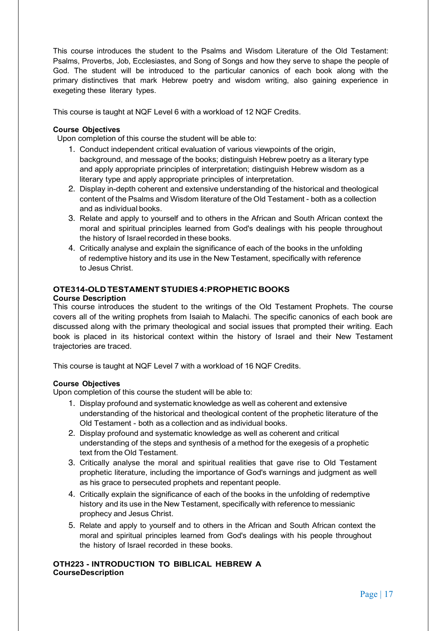This course introduces the student to the Psalms and Wisdom Literature of the Old Testament: Psalms, Proverbs, Job, Ecclesiastes, and Song of Songs and how they serve to shape the people of God. The student will be introduced to the particular canonics of each book along with the primary distinctives that mark Hebrew poetry and wisdom writing, also gaining experience in exegeting these literary types.

This course is taught at NQF Level 6 with a workload of 12 NQF Credits.

#### **Course Objectives**

Upon completion of this course the student will be able to:

- 1. Conduct independent critical evaluation of various viewpoints of the origin, background, and message of the books; distinguish Hebrew poetry as a literary type and apply appropriate principles of interpretation; distinguish Hebrew wisdom as a literary type and apply appropriate principles of interpretation.
- 2. Display in-depth coherent and extensive understanding of the historical and theological content of the Psalms and Wisdom literature of the Old Testament - both as a collection and as individual books.
- 3. Relate and apply to yourself and to others in the African and South African context the moral and spiritual principles learned from God's dealings with his people throughout the history of Israel recorded in these books.
- 4. Critically analyse and explain the significance of each of the books in the unfolding of redemptive history and its use in the New Testament, specifically with reference to Jesus Christ.

#### **OTE314-OLDTESTAMENTSTUDIES4:PROPHETICBOOKS Course Description**

This course introduces the student to the writings of the Old Testament Prophets. The course covers all of the writing prophets from Isaiah to Malachi. The specific canonics of each book are discussed along with the primary theological and social issues that prompted their writing. Each book is placed in its historical context within the history of Israel and their New Testament trajectories are traced.

This course is taught at NQF Level 7 with a workload of 16 NQF Credits.

#### **Course Objectives**

Upon completion of this course the student will be able to:

- 1. Display profound and systematic knowledge as well as coherent and extensive understanding of the historical and theological content of the prophetic literature of the Old Testament - both as a collection and as individual books.
- 2. Display profound and systematic knowledge as well as coherent and critical understanding of the steps and synthesis of a method for the exegesis of a prophetic text from the Old Testament.
- 3. Critically analyse the moral and spiritual realities that gave rise to Old Testament prophetic literature, including the importance of God's warnings and judgment as well as his grace to persecuted prophets and repentant people.
- 4. Critically explain the significance of each of the books in the unfolding of redemptive history and its use in the New Testament, specifically with reference to messianic prophecy and Jesus Christ.
- 5. Relate and apply to yourself and to others in the African and South African context the moral and spiritual principles learned from God's dealings with his people throughout the history of Israel recorded in these books.

#### **OTH223 - INTRODUCTION TO BIBLICAL HEBREW A CourseDescription**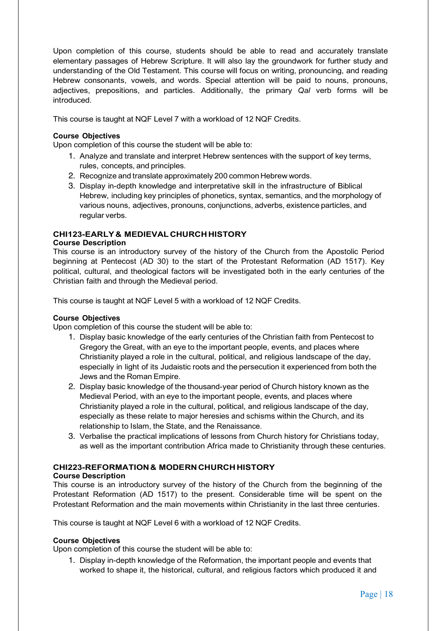Upon completion of this course, students should be able to read and accurately translate elementary passages of Hebrew Scripture. It will also lay the groundwork for further study and understanding of the Old Testament. This course will focus on writing, pronouncing, and reading Hebrew consonants, vowels, and words. Special attention will be paid to nouns, pronouns, adjectives, prepositions, and particles. Additionally, the primary *Qal* verb forms will be introduced.

This course is taught at NQF Level 7 with a workload of 12 NQF Credits.

#### **Course Objectives**

Upon completion of this course the student will be able to:

- 1. Analyze and translate and interpret Hebrew sentences with the support of key terms, rules, concepts, and principles.
- 2. Recognize and translate approximately 200 common Hebrew words.
- 3. Display in-depth knowledge and interpretative skill in the infrastructure of Biblical Hebrew, including key principles of phonetics, syntax, semantics, and the morphology of various nouns, adjectives, pronouns, conjunctions, adverbs, existence particles, and regular verbs.

#### **CHI123-EARLY & MEDIEVAL CHURCHHISTORY**

#### **Course Description**

This course is an introductory survey of the history of the Church from the Apostolic Period beginning at Pentecost (AD 30) to the start of the Protestant Reformation (AD 1517). Key political, cultural, and theological factors will be investigated both in the early centuries of the Christian faith and through the Medieval period.

This course is taught at NQF Level 5 with a workload of 12 NQF Credits.

#### **Course Objectives**

Upon completion of this course the student will be able to:

- 1. Display basic knowledge of the early centuries of the Christian faith from Pentecost to Gregory the Great, with an eye to the important people, events, and places where Christianity played a role in the cultural, political, and religious landscape of the day, especially in light of its Judaistic roots and the persecution it experienced from both the Jews and the Roman Empire.
- 2. Display basic knowledge of the thousand-year period of Church history known as the Medieval Period, with an eye to the important people, events, and places where Christianity played a role in the cultural, political, and religious landscape of the day, especially as these relate to major heresies and schisms within the Church, and its relationship to Islam, the State, and the Renaissance.
- 3. Verbalise the practical implications of lessons from Church history for Christians today, as well as the important contribution Africa made to Christianity through these centuries.

#### **CHI223-REFORMATION& MODERNCHURCHHISTORY**

#### **Course Description**

This course is an introductory survey of the history of the Church from the beginning of the Protestant Reformation (AD 1517) to the present. Considerable time will be spent on the Protestant Reformation and the main movements within Christianity in the last three centuries.

This course is taught at NQF Level 6 with a workload of 12 NQF Credits.

#### **Course Objectives**

Upon completion of this course the student will be able to:

1. Display in-depth knowledge of the Reformation, the important people and events that worked to shape it, the historical, cultural, and religious factors which produced it and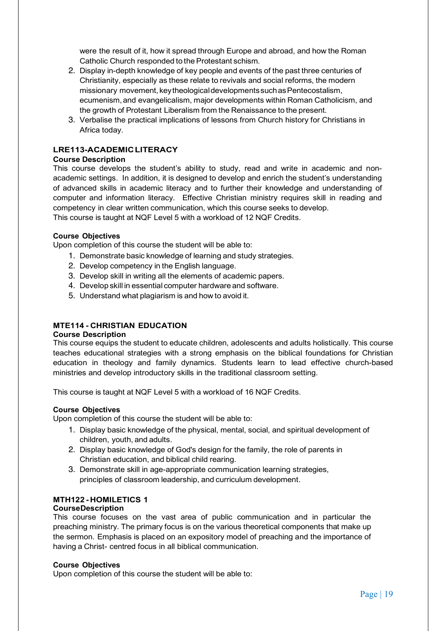were the result of it, how it spread through Europe and abroad, and how the Roman Catholic Church responded to the Protestant schism.

- 2. Display in-depth knowledge of key people and events of the past three centuries of Christianity, especially as these relate to revivals and social reforms, the modern missionary movement, keytheologicaldevelopmentssuchasPentecostalism, ecumenism,and evangelicalism, major developments within Roman Catholicism, and the growth of Protestant Liberalism from the Renaissance to the present.
- 3. Verbalise the practical implications of lessons from Church history for Christians in Africa today.

#### **LRE113-ACADEMICLITERACY**

#### **Course Description**

This course develops the student's ability to study, read and write in academic and nonacademic settings. In addition, it is designed to develop and enrich the student's understanding of advanced skills in academic literacy and to further their knowledge and understanding of computer and information literacy. Effective Christian ministry requires skill in reading and competency in clear written communication, which this course seeks to develop. This course is taught at NQF Level 5 with a workload of 12 NQF Credits.

#### **Course Objectives**

Upon completion of this course the student will be able to:

- 1. Demonstrate basic knowledge of learning and study strategies.
- 2. Develop competency in the English language.
- 3. Develop skill in writing all the elements of academic papers.
- 4. Develop skill in essential computer hardware and software.
- 5. Understand what plagiarism is and how to avoid it.

#### **MTE114 - CHRISTIAN EDUCATION**

#### **Course Description**

This course equips the student to educate children, adolescents and adults holistically. This course teaches educational strategies with a strong emphasis on the biblical foundations for Christian education in theology and family dynamics. Students learn to lead effective church-based ministries and develop introductory skills in the traditional classroom setting.

This course is taught at NQF Level 5 with a workload of 16 NQF Credits.

#### **Course Objectives**

Upon completion of this course the student will be able to:

- 1. Display basic knowledge of the physical, mental, social, and spiritual development of children, youth, and adults.
- 2. Display basic knowledge of God's design for the family, the role of parents in Christian education, and biblical child rearing.
- 3. Demonstrate skill in age-appropriate communication learning strategies, principles of classroom leadership, and curriculum development.

#### **MTH122 - HOMILETICS 1**

#### **CourseDescription**

This course focuses on the vast area of public communication and in particular the preaching ministry. The primary focus is on the various theoretical components that make up the sermon. Emphasis is placed on an expository model of preaching and the importance of having a Christ- centred focus in all biblical communication.

#### **Course Objectives**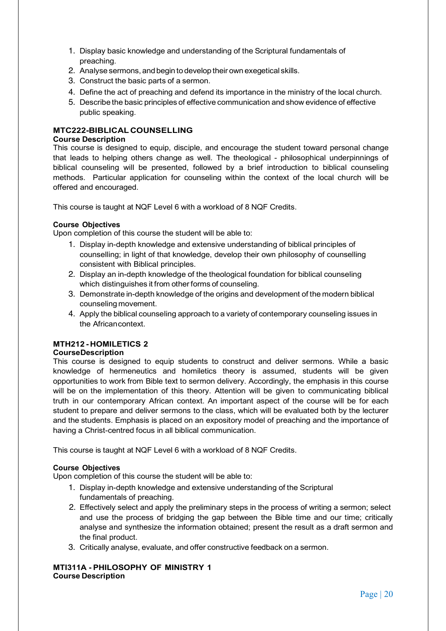- 1. Display basic knowledge and understanding of the Scriptural fundamentals of preaching.
- 2. Analyse sermons, and begin to develop their own exegetical skills.
- 3. Construct the basic parts of a sermon.
- 4. Define the act of preaching and defend its importance in the ministry of the local church.
- 5. Describe the basic principles of effective communication and show evidence of effective public speaking.

### **MTC222-BIBLICAL COUNSELLING**

#### **Course Description**

This course is designed to equip, disciple, and encourage the student toward personal change that leads to helping others change as well. The theological - philosophical underpinnings of biblical counseling will be presented, followed by a brief introduction to biblical counseling methods. Particular application for counseling within the context of the local church will be offered and encouraged.

This course is taught at NQF Level 6 with a workload of 8 NQF Credits.

#### **Course Objectives**

Upon completion of this course the student will be able to:

- 1. Display in-depth knowledge and extensive understanding of biblical principles of counselling; in light of that knowledge, develop their own philosophy of counselling consistent with Biblical principles.
- 2. Display an in-depth knowledge of the theological foundation for biblical counseling which distinguishes it from other forms of counseling.
- 3. Demonstrate in-depth knowledge of the origins and development of the modern biblical counseling movement.
- 4. Apply the biblical counseling approach to a variety of contemporary counseling issues in the African context.

#### **MTH212 - HOMILETICS 2**

#### **CourseDescription**

This course is designed to equip students to construct and deliver sermons. While a basic knowledge of hermeneutics and homiletics theory is assumed, students will be given opportunities to work from Bible text to sermon delivery. Accordingly, the emphasis in this course will be on the implementation of this theory. Attention will be given to communicating biblical truth in our contemporary African context. An important aspect of the course will be for each student to prepare and deliver sermons to the class, which will be evaluated both by the lecturer and the students. Emphasis is placed on an expository model of preaching and the importance of having a Christ-centred focus in all biblical communication.

This course is taught at NQF Level 6 with a workload of 8 NQF Credits.

#### **Course Objectives**

Upon completion of this course the student will be able to:

- 1. Display in-depth knowledge and extensive understanding of the Scriptural fundamentals of preaching.
- 2. Effectively select and apply the preliminary steps in the process of writing a sermon; select and use the process of bridging the gap between the Bible time and our time; critically analyse and synthesize the information obtained; present the result as a draft sermon and the final product.
- 3. Critically analyse, evaluate, and offer constructive feedback on a sermon.

#### **MTI311A - PHILOSOPHY OF MINISTRY 1 Course Description**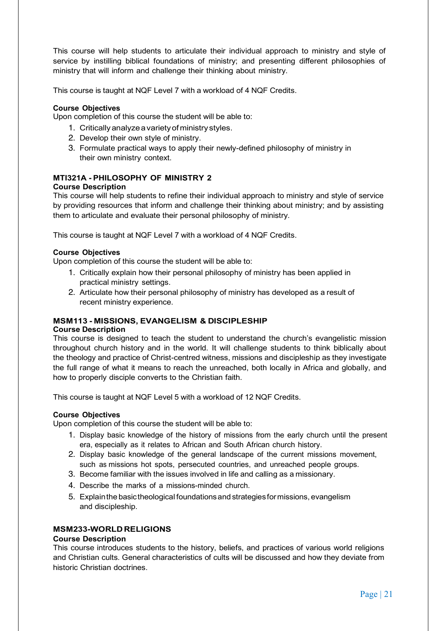This course will help students to articulate their individual approach to ministry and style of service by instilling biblical foundations of ministry; and presenting different philosophies of ministry that will inform and challenge their thinking about ministry.

This course is taught at NQF Level 7 with a workload of 4 NQF Credits.

#### **Course Objectives**

Upon completion of this course the student will be able to:

- 1. Criticallyanalyzeavarietyofministry styles.
- 2. Develop their own style of ministry.
- 3. Formulate practical ways to apply their newly-defined philosophy of ministry in their own ministry context.

#### **MTI321A - PHILOSOPHY OF MINISTRY 2**

#### **Course Description**

This course will help students to refine their individual approach to ministry and style of service by providing resources that inform and challenge their thinking about ministry; and by assisting them to articulate and evaluate their personal philosophy of ministry.

This course is taught at NQF Level 7 with a workload of 4 NQF Credits.

#### **Course Objectives**

Upon completion of this course the student will be able to:

- 1. Critically explain how their personal philosophy of ministry has been applied in practical ministry settings.
- 2. Articulate how their personal philosophy of ministry has developed as a result of recent ministry experience.

#### **MSM113 - MISSIONS, EVANGELISM & DISCIPLESHIP**

#### **Course Description**

This course is designed to teach the student to understand the church's evangelistic mission throughout church history and in the world. It will challenge students to think biblically about the theology and practice of Christ-centred witness, missions and discipleship as they investigate the full range of what it means to reach the unreached, both locally in Africa and globally, and how to properly disciple converts to the Christian faith.

This course is taught at NQF Level 5 with a workload of 12 NQF Credits.

#### **Course Objectives**

Upon completion of this course the student will be able to:

- 1. Display basic knowledge of the history of missions from the early church until the present era, especially as it relates to African and South African church history.
- 2. Display basic knowledge of the general landscape of the current missions movement, such as missions hot spots, persecuted countries, and unreached people groups.
- 3. Become familiar with the issues involved in life and calling as a missionary.
- 4. Describe the marks of a missions-minded church.
- 5. Explain the basic theological foundations and strategies for missions, evangelism and discipleship.

#### **MSM233-WORLDRELIGIONS**

#### **Course Description**

This course introduces students to the history, beliefs, and practices of various world religions and Christian cults. General characteristics of cults will be discussed and how they deviate from historic Christian doctrines.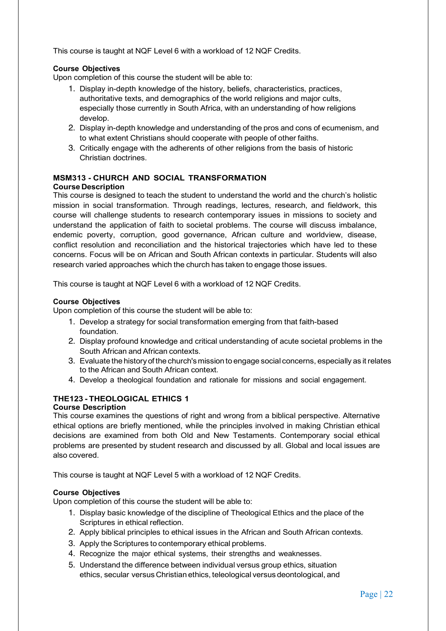This course is taught at NQF Level 6 with a workload of 12 NQF Credits.

#### **Course Objectives**

Upon completion of this course the student will be able to:

- 1. Display in-depth knowledge of the history, beliefs, characteristics, practices, authoritative texts, and demographics of the world religions and major cults, especially those currently in South Africa, with an understanding of how religions develop.
- 2. Display in-depth knowledge and understanding of the pros and cons of ecumenism, and to what extent Christians should cooperate with people of other faiths.
- 3. Critically engage with the adherents of other religions from the basis of historic Christian doctrines.

#### **MSM313 - CHURCH AND SOCIAL TRANSFORMATION Course Description**

This course is designed to teach the student to understand the world and the church's holistic mission in social transformation. Through readings, lectures, research, and fieldwork, this course will challenge students to research contemporary issues in missions to society and understand the application of faith to societal problems. The course will discuss imbalance, endemic poverty, corruption, good governance, African culture and worldview, disease, conflict resolution and reconciliation and the historical trajectories which have led to these concerns. Focus will be on African and South African contexts in particular. Students will also

This course is taught at NQF Level 6 with a workload of 12 NQF Credits.

research varied approaches which the church has taken to engage those issues.

#### **Course Objectives**

Upon completion of this course the student will be able to:

- 1. Develop a strategy for social transformation emerging from that faith-based foundation.
- 2. Display profound knowledge and critical understanding of acute societal problems in the South African and African contexts.
- 3. Evaluate the history of the church's mission to engage social concerns, especially as it relates to the African and South African context.
- 4. Develop a theological foundation and rationale for missions and social engagement.

#### **THE123 - THEOLOGICAL ETHICS 1**

#### **Course Description**

This course examines the questions of right and wrong from a biblical perspective. Alternative ethical options are briefly mentioned, while the principles involved in making Christian ethical decisions are examined from both Old and New Testaments. Contemporary social ethical problems are presented by student research and discussed by all. Global and local issues are also covered.

This course is taught at NQF Level 5 with a workload of 12 NQF Credits.

#### **Course Objectives**

- 1. Display basic knowledge of the discipline of Theological Ethics and the place of the Scriptures in ethical reflection.
- 2. Apply biblical principles to ethical issues in the African and South African contexts.
- 3. Apply the Scriptures to contemporary ethical problems.
- 4. Recognize the major ethical systems, their strengths and weaknesses.
- 5. Understand the difference between individual versus group ethics, situation ethics, secular versus Christian ethics, teleological versus deontological, and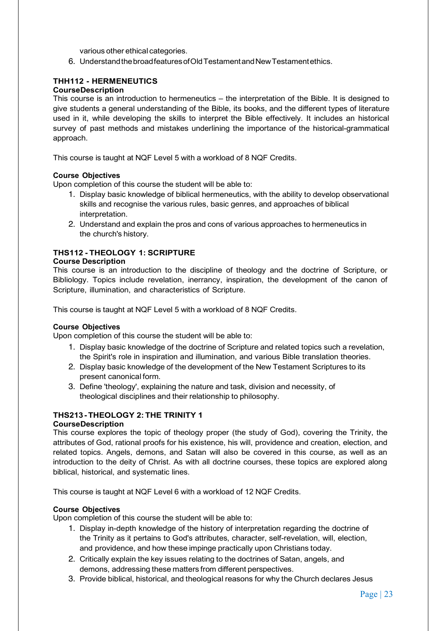various other ethical categories.

6. Understand the broad features of Old Testament and New Testament ethics.

#### **THH112 - HERMENEUTICS**

#### **CourseDescription**

This course is an introduction to hermeneutics – the interpretation of the Bible. It is designed to give students a general understanding of the Bible, its books, and the different types of literature used in it, while developing the skills to interpret the Bible effectively. It includes an historical survey of past methods and mistakes underlining the importance of the historical-grammatical approach.

This course is taught at NQF Level 5 with a workload of 8 NQF Credits.

#### **Course Objectives**

Upon completion of this course the student will be able to:

- 1. Display basic knowledge of biblical hermeneutics, with the ability to develop observational skills and recognise the various rules, basic genres, and approaches of biblical interpretation.
- 2. Understand and explain the pros and cons of various approaches to hermeneutics in the church's history.

#### **THS112 - THEOLOGY 1: SCRIPTURE**

#### **Course Description**

This course is an introduction to the discipline of theology and the doctrine of Scripture, or Bibliology. Topics include revelation, inerrancy, inspiration, the development of the canon of Scripture, illumination, and characteristics of Scripture.

This course is taught at NQF Level 5 with a workload of 8 NQF Credits.

#### **Course Objectives**

Upon completion of this course the student will be able to:

- 1. Display basic knowledge of the doctrine of Scripture and related topics such a revelation, the Spirit's role in inspiration and illumination, and various Bible translation theories.
- 2. Display basic knowledge of the development of the New Testament Scriptures to its present canonical form.
- 3. Define 'theology', explaining the nature and task, division and necessity, of theological disciplines and their relationship to philosophy.

#### **THS213-THEOLOGY 2:THE TRINITY 1 CourseDescription**

This course explores the topic of theology proper (the study of God), covering the Trinity, the attributes of God, rational proofs for his existence, his will, providence and creation, election, and related topics. Angels, demons, and Satan will also be covered in this course, as well as an introduction to the deity of Christ. As with all doctrine courses, these topics are explored along biblical, historical, and systematic lines.

This course is taught at NQF Level 6 with a workload of 12 NQF Credits.

#### **Course Objectives**

- 1. Display in-depth knowledge of the history of interpretation regarding the doctrine of the Trinity as it pertains to God's attributes, character, self-revelation, will, election, and providence, and how these impinge practically upon Christians today.
- 2. Critically explain the key issues relating to the doctrines of Satan, angels, and demons, addressing these matters from different perspectives.
- 3. Provide biblical, historical, and theological reasons for why the Church declares Jesus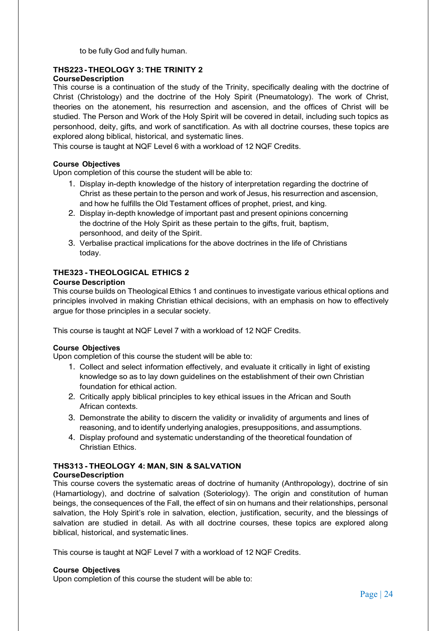to be fully God and fully human.

#### **THS223-THEOLOGY 3:THE TRINITY 2**

#### **CourseDescription**

This course is a continuation of the study of the Trinity, specifically dealing with the doctrine of Christ (Christology) and the doctrine of the Holy Spirit (Pneumatology). The work of Christ, theories on the atonement, his resurrection and ascension, and the offices of Christ will be studied. The Person and Work of the Holy Spirit will be covered in detail, including such topics as personhood, deity, gifts, and work of sanctification. As with all doctrine courses, these topics are explored along biblical, historical, and systematic lines.

This course is taught at NQF Level 6 with a workload of 12 NQF Credits.

#### **Course Objectives**

Upon completion of this course the student will be able to:

- 1. Display in-depth knowledge of the history of interpretation regarding the doctrine of Christ as these pertain to the person and work of Jesus, his resurrection and ascension, and how he fulfills the Old Testament offices of prophet, priest, and king.
- 2. Display in-depth knowledge of important past and present opinions concerning the doctrine of the Holy Spirit as these pertain to the gifts, fruit, baptism, personhood, and deity of the Spirit.
- 3. Verbalise practical implications for the above doctrines in the life of Christians today.

#### **THE323 - THEOLOGICAL ETHICS 2**

#### **Course Description**

This course builds on Theological Ethics 1 and continues to investigate various ethical options and principles involved in making Christian ethical decisions, with an emphasis on how to effectively argue for those principles in a secular society.

This course is taught at NQF Level 7 with a workload of 12 NQF Credits.

#### **Course Objectives**

Upon completion of this course the student will be able to:

- 1. Collect and select information effectively, and evaluate it critically in light of existing knowledge so as to lay down guidelines on the establishment of their own Christian foundation for ethical action.
- 2. Critically apply biblical principles to key ethical issues in the African and South African contexts.
- 3. Demonstrate the ability to discern the validity or invalidity of arguments and lines of reasoning, and to identify underlying analogies, presuppositions, and assumptions.
- 4. Display profound and systematic understanding of the theoretical foundation of Christian Ethics.

#### **THS313 - THEOLOGY 4: MAN, SIN & SALVATION**

#### **CourseDescription**

This course covers the systematic areas of doctrine of humanity (Anthropology), doctrine of sin (Hamartiology), and doctrine of salvation (Soteriology). The origin and constitution of human beings, the consequences of the Fall, the effect of sin on humans and their relationships, personal salvation, the Holy Spirit's role in salvation, election, justification, security, and the blessings of salvation are studied in detail. As with all doctrine courses, these topics are explored along biblical, historical, and systematic lines.

This course is taught at NQF Level 7 with a workload of 12 NQF Credits.

#### **Course Objectives**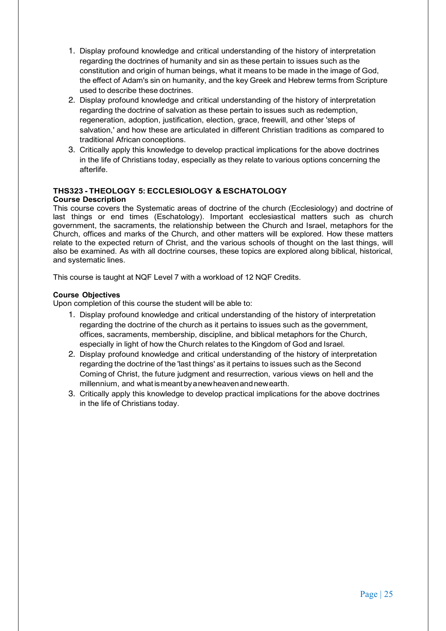- 1. Display profound knowledge and critical understanding of the history of interpretation regarding the doctrines of humanity and sin as these pertain to issues such as the constitution and origin of human beings, what it means to be made in the image of God, the effect of Adam's sin on humanity, and the key Greek and Hebrew terms from Scripture used to describe these doctrines.
- 2. Display profound knowledge and critical understanding of the history of interpretation regarding the doctrine of salvation as these pertain to issues such as redemption, regeneration, adoption, justification, election, grace, freewill, and other 'steps of salvation,' and how these are articulated in different Christian traditions as compared to traditional African conceptions.
- 3. Critically apply this knowledge to develop practical implications for the above doctrines in the life of Christians today, especially as they relate to various options concerning the afterlife.

#### **THS323 - THEOLOGY 5: ECCLESIOLOGY & ESCHATOLOGY Course Description**

This course covers the Systematic areas of doctrine of the church (Ecclesiology) and doctrine of last things or end times (Eschatology). Important ecclesiastical matters such as church government, the sacraments, the relationship between the Church and Israel, metaphors for the Church, offices and marks of the Church, and other matters will be explored. How these matters relate to the expected return of Christ, and the various schools of thought on the last things, will also be examined. As with all doctrine courses, these topics are explored along biblical, historical, and systematic lines.

This course is taught at NQF Level 7 with a workload of 12 NQF Credits.

#### **Course Objectives**

- 1. Display profound knowledge and critical understanding of the history of interpretation regarding the doctrine of the church as it pertains to issues such as the government, offices, sacraments, membership, discipline, and biblical metaphors for the Church, especially in light of how the Church relates to the Kingdom of God and Israel.
- 2. Display profound knowledge and critical understanding of the history of interpretation regarding the doctrine of the 'last things' as it pertains to issues such as the Second Coming of Christ, the future judgment and resurrection, various views on hell and the millennium, and what is meant by a new heaven and new earth.
- 3. Critically apply this knowledge to develop practical implications for the above doctrines in the life of Christians today.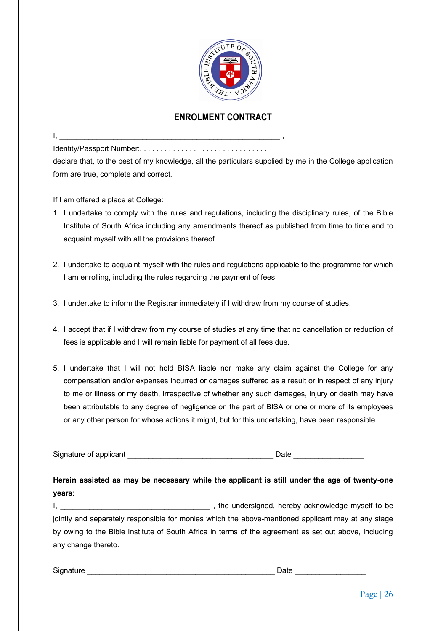

### **ENROLMENT CONTRACT**

Identity/Passport Number:. . . . . . . . . . . . . . . . . . . . . . . . . . . . . . .

I, \_\_\_\_\_\_\_\_\_\_\_\_\_\_\_\_\_\_\_\_\_\_\_\_\_\_\_\_\_\_\_\_\_\_\_\_\_\_\_\_\_\_\_\_\_\_\_\_\_\_\_\_\_ ,

declare that, to the best of my knowledge, all the particulars supplied by me in the College application form are true, complete and correct.

If I am offered a place at College:

- 1. I undertake to comply with the rules and regulations, including the disciplinary rules, of the Bible Institute of South Africa including any amendments thereof as published from time to time and to acquaint myself with all the provisions thereof.
- 2. I undertake to acquaint myself with the rules and regulations applicable to the programme for which I am enrolling, including the rules regarding the payment of fees.
- 3. I undertake to inform the Registrar immediately if I withdraw from my course of studies.
- 4. I accept that if I withdraw from my course of studies at any time that no cancellation or reduction of fees is applicable and I will remain liable for payment of all fees due.
- 5. I undertake that I will not hold BISA liable nor make any claim against the College for any compensation and/or expenses incurred or damages suffered as a result or in respect of any injury to me or illness or my death, irrespective of whether any such damages, injury or death may have been attributable to any degree of negligence on the part of BISA or one or more of its employees or any other person for whose actions it might, but for this undertaking, have been responsible.

Signature of applicant the contract of the state of  $\Box$  Date  $\Box$ 

### **Herein assisted as may be necessary while the applicant is still under the age of twenty-one years**:

I, the undersigned, hereby acknowledge myself to be jointly and separately responsible for monies which the above-mentioned applicant may at any stage by owing to the Bible Institute of South Africa in terms of the agreement as set out above, including any change thereto.

Signature **Example 20** and 20 and 20 and 20 and 20 and 20 and 20 and 20 and 20 and 20 and 20 and 20 and 20 and 20 and 20 and 20 and 20 and 20 and 20 and 20 and 20 and 20 and 20 and 20 and 20 and 20 and 20 and 20 and 20 and